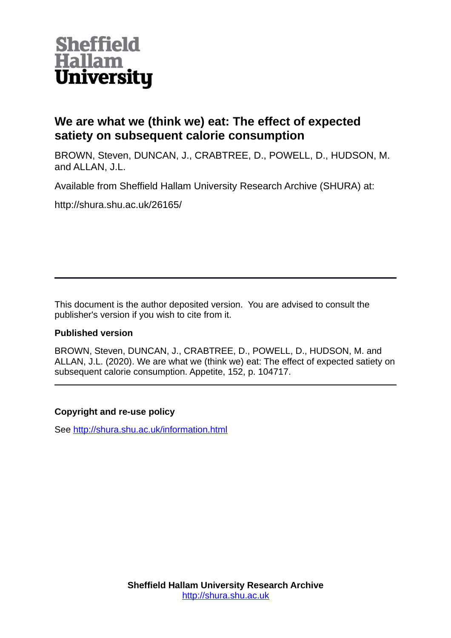

# **We are what we (think we) eat: The effect of expected satiety on subsequent calorie consumption**

BROWN, Steven, DUNCAN, J., CRABTREE, D., POWELL, D., HUDSON, M. and ALLAN, J.L.

Available from Sheffield Hallam University Research Archive (SHURA) at:

http://shura.shu.ac.uk/26165/

This document is the author deposited version. You are advised to consult the publisher's version if you wish to cite from it.

# **Published version**

BROWN, Steven, DUNCAN, J., CRABTREE, D., POWELL, D., HUDSON, M. and ALLAN, J.L. (2020). We are what we (think we) eat: The effect of expected satiety on subsequent calorie consumption. Appetite, 152, p. 104717.

# **Copyright and re-use policy**

See<http://shura.shu.ac.uk/information.html>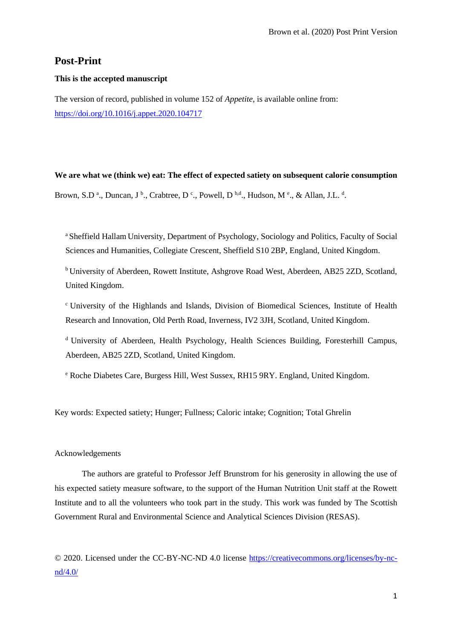# **Post-Print**

# **This is the accepted manuscript**

The version of record, published in volume 152 of *Appetite*, is available online from: <https://doi.org/10.1016/j.appet.2020.104717>

# **We are what we (think we) eat: The effect of expected satiety on subsequent calorie consumption**

Brown, S.D<sup>a</sup>., Duncan, J<sup>b</sup>., Crabtree, D<sup>c</sup>., Powell, D<sup>b,d</sup>., Hudson, M<sup>e</sup>., & Allan, J.L.<sup>d</sup>.

<sup>a</sup> Sheffield Hallam University, Department of Psychology, Sociology and Politics, Faculty of Social Sciences and Humanities, Collegiate Crescent, Sheffield S10 2BP, England, United Kingdom.

<sup>b</sup> University of Aberdeen, Rowett Institute, Ashgrove Road West, Aberdeen, AB25 2ZD, Scotland, United Kingdom.

<sup>c</sup>University of the Highlands and Islands, Division of Biomedical Sciences, Institute of Health Research and Innovation, Old Perth Road, Inverness, IV2 3JH, Scotland, United Kingdom.

<sup>d</sup> University of Aberdeen, Health Psychology, Health Sciences Building, Foresterhill Campus, Aberdeen, AB25 2ZD, Scotland, United Kingdom.

<sup>e</sup> Roche Diabetes Care, Burgess Hill, West Sussex, RH15 9RY. England, United Kingdom.

Key words: Expected satiety; Hunger; Fullness; Caloric intake; Cognition; Total Ghrelin

# Acknowledgements

The authors are grateful to Professor Jeff Brunstrom for his generosity in allowing the use of his expected satiety measure software, to the support of the Human Nutrition Unit staff at the Rowett Institute and to all the volunteers who took part in the study. This work was funded by The Scottish Government Rural and Environmental Science and Analytical Sciences Division (RESAS).

© 2020. Licensed under the CC-BY-NC-ND 4.0 license [https://creativecommons.org/licenses/by-nc](https://creativecommons.org/licenses/by-nc-nd/4.0/)[nd/4.0/](https://creativecommons.org/licenses/by-nc-nd/4.0/)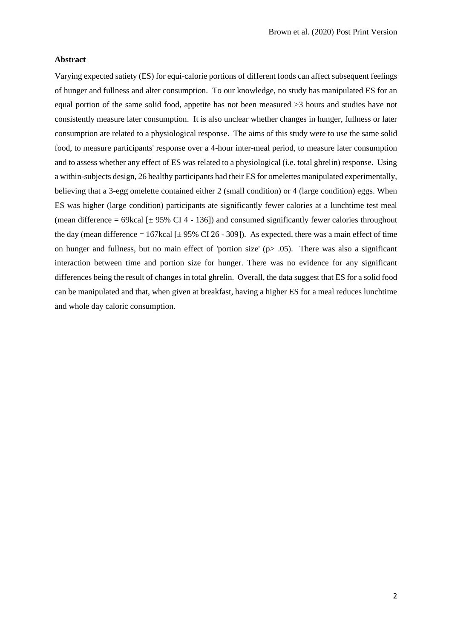#### **Abstract**

Varying expected satiety (ES) for equi-calorie portions of different foods can affect subsequent feelings of hunger and fullness and alter consumption. To our knowledge, no study has manipulated ES for an equal portion of the same solid food, appetite has not been measured >3 hours and studies have not consistently measure later consumption. It is also unclear whether changes in hunger, fullness or later consumption are related to a physiological response. The aims of this study were to use the same solid food, to measure participants' response over a 4-hour inter-meal period, to measure later consumption and to assess whether any effect of ES was related to a physiological (i.e. total ghrelin) response. Using a within-subjects design, 26 healthy participants had their ES for omelettes manipulated experimentally, believing that a 3-egg omelette contained either 2 (small condition) or 4 (large condition) eggs. When ES was higher (large condition) participants ate significantly fewer calories at a lunchtime test meal (mean difference = 69kcal  $[\pm 95\% \text{ CI } 4 - 136]$ ) and consumed significantly fewer calories throughout the day (mean difference = 167kcal  $[\pm 95\%$  CI 26 - 309]). As expected, there was a main effect of time on hunger and fullness, but no main effect of 'portion size'  $(p > .05)$ . There was also a significant interaction between time and portion size for hunger. There was no evidence for any significant differences being the result of changes in total ghrelin. Overall, the data suggest that ES for a solid food can be manipulated and that, when given at breakfast, having a higher ES for a meal reduces lunchtime and whole day caloric consumption.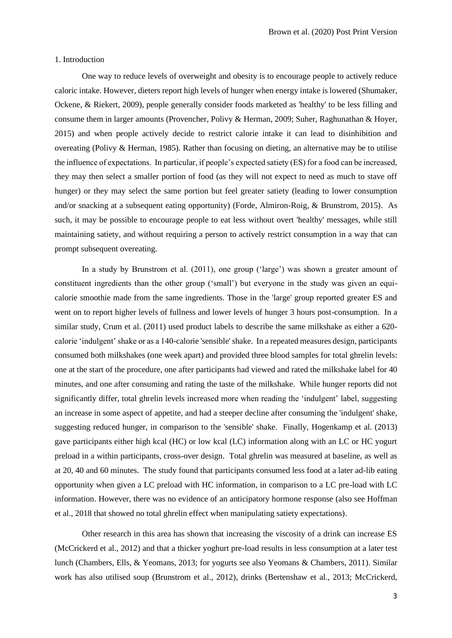#### 1. Introduction

One way to reduce levels of overweight and obesity is to encourage people to actively reduce caloric intake. However, dieters report high levels of hunger when energy intake is lowered (Shumaker, Ockene, & Riekert, 2009), people generally consider foods marketed as 'healthy' to be less filling and consume them in larger amounts (Provencher, Polivy & Herman, 2009; Suher, Raghunathan & Hoyer, 2015) and when people actively decide to restrict calorie intake it can lead to disinhibition and overeating (Polivy & Herman, 1985). Rather than focusing on dieting, an alternative may be to utilise the influence of expectations. In particular, if people's expected satiety (ES) for a food can be increased, they may then select a smaller portion of food (as they will not expect to need as much to stave off hunger) or they may select the same portion but feel greater satiety (leading to lower consumption and/or snacking at a subsequent eating opportunity) (Forde, Almiron-Roig, & Brunstrom, 2015). As such, it may be possible to encourage people to eat less without overt 'healthy' messages, while still maintaining satiety, and without requiring a person to actively restrict consumption in a way that can prompt subsequent overeating.

In a study by Brunstrom et al. (2011), one group ('large') was shown a greater amount of constituent ingredients than the other group ('small') but everyone in the study was given an equicalorie smoothie made from the same ingredients. Those in the 'large' group reported greater ES and went on to report higher levels of fullness and lower levels of hunger 3 hours post-consumption. In a similar study, Crum et al. (2011) used product labels to describe the same milkshake as either a 620 calorie 'indulgent' shake or as a 140-calorie 'sensible' shake. In a repeated measures design, participants consumed both milkshakes (one week apart) and provided three blood samples for total ghrelin levels: one at the start of the procedure, one after participants had viewed and rated the milkshake label for 40 minutes, and one after consuming and rating the taste of the milkshake. While hunger reports did not significantly differ, total ghrelin levels increased more when reading the 'indulgent' label, suggesting an increase in some aspect of appetite, and had a steeper decline after consuming the 'indulgent' shake, suggesting reduced hunger, in comparison to the 'sensible' shake. Finally, Hogenkamp et al. (2013) gave participants either high kcal (HC) or low kcal (LC) information along with an LC or HC yogurt preload in a within participants, cross-over design. Total ghrelin was measured at baseline, as well as at 20, 40 and 60 minutes. The study found that participants consumed less food at a later ad-lib eating opportunity when given a LC preload with HC information, in comparison to a LC pre-load with LC information. However, there was no evidence of an anticipatory hormone response (also see Hoffman et al., 2018 that showed no total ghrelin effect when manipulating satiety expectations).

Other research in this area has shown that increasing the viscosity of a drink can increase ES (McCrickerd et al., 2012) and that a thicker yoghurt pre-load results in less consumption at a later test lunch (Chambers, Ells, & Yeomans, 2013; for yogurts see also Yeomans & Chambers, 2011). Similar work has also utilised soup (Brunstrom et al., 2012), drinks (Bertenshaw et al., 2013; McCrickerd,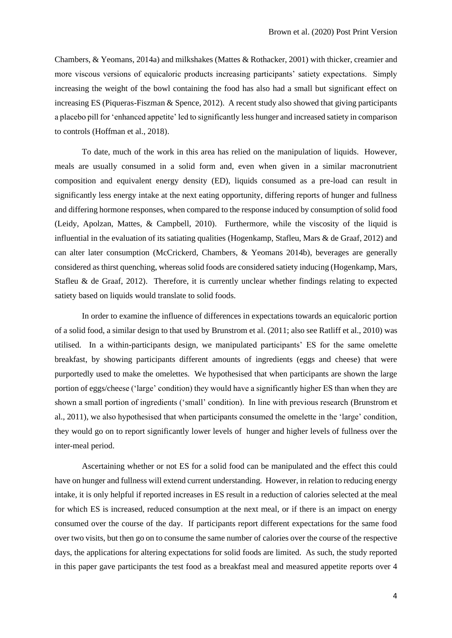Chambers, & Yeomans, 2014a) and milkshakes (Mattes & Rothacker, 2001) with thicker, creamier and more viscous versions of equicaloric products increasing participants' satiety expectations. Simply increasing the weight of the bowl containing the food has also had a small but significant effect on increasing ES (Piqueras-Fiszman & Spence, 2012). A recent study also showed that giving participants a placebo pill for 'enhanced appetite' led to significantly less hunger and increased satiety in comparison to controls (Hoffman et al., 2018).

To date, much of the work in this area has relied on the manipulation of liquids. However, meals are usually consumed in a solid form and, even when given in a similar macronutrient composition and equivalent energy density (ED), liquids consumed as a pre-load can result in significantly less energy intake at the next eating opportunity, differing reports of hunger and fullness and differing hormone responses, when compared to the response induced by consumption of solid food (Leidy, Apolzan, Mattes, & Campbell, 2010). Furthermore, while the viscosity of the liquid is influential in the evaluation of its satiating qualities (Hogenkamp, Stafleu, Mars & de Graaf, 2012) and can alter later consumption (McCrickerd, Chambers, & Yeomans 2014b), beverages are generally considered as thirst quenching, whereas solid foods are considered satiety inducing (Hogenkamp, Mars, Stafleu & de Graaf, 2012). Therefore, it is currently unclear whether findings relating to expected satiety based on liquids would translate to solid foods.

In order to examine the influence of differences in expectations towards an equicaloric portion of a solid food, a similar design to that used by Brunstrom et al. (2011; also see Ratliff et al., 2010) was utilised. In a within-participants design, we manipulated participants' ES for the same omelette breakfast, by showing participants different amounts of ingredients (eggs and cheese) that were purportedly used to make the omelettes. We hypothesised that when participants are shown the large portion of eggs/cheese ('large' condition) they would have a significantly higher ES than when they are shown a small portion of ingredients ('small' condition). In line with previous research (Brunstrom et al., 2011), we also hypothesised that when participants consumed the omelette in the 'large' condition, they would go on to report significantly lower levels of hunger and higher levels of fullness over the inter-meal period.

Ascertaining whether or not ES for a solid food can be manipulated and the effect this could have on hunger and fullness will extend current understanding. However, in relation to reducing energy intake, it is only helpful if reported increases in ES result in a reduction of calories selected at the meal for which ES is increased, reduced consumption at the next meal, or if there is an impact on energy consumed over the course of the day. If participants report different expectations for the same food over two visits, but then go on to consume the same number of calories over the course of the respective days, the applications for altering expectations for solid foods are limited. As such, the study reported in this paper gave participants the test food as a breakfast meal and measured appetite reports over 4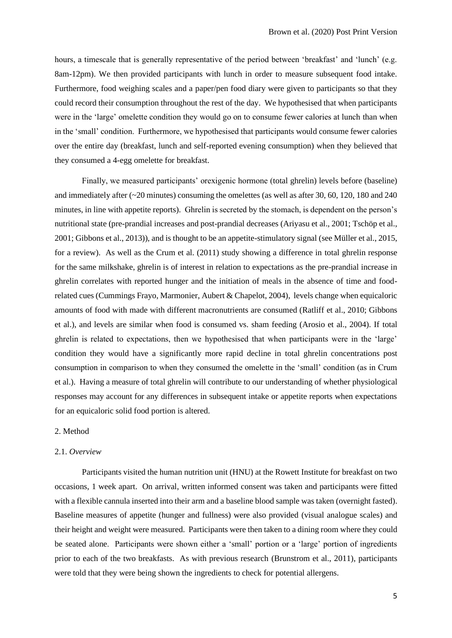hours, a timescale that is generally representative of the period between 'breakfast' and 'lunch' (e.g. 8am-12pm). We then provided participants with lunch in order to measure subsequent food intake. Furthermore, food weighing scales and a paper/pen food diary were given to participants so that they could record their consumption throughout the rest of the day. We hypothesised that when participants were in the 'large' omelette condition they would go on to consume fewer calories at lunch than when in the 'small' condition. Furthermore, we hypothesised that participants would consume fewer calories over the entire day (breakfast, lunch and self-reported evening consumption) when they believed that they consumed a 4-egg omelette for breakfast.

Finally, we measured participants' orexigenic hormone (total ghrelin) levels before (baseline) and immediately after (~20 minutes) consuming the omelettes (as well as after 30, 60, 120, 180 and 240 minutes, in line with appetite reports). Ghrelin is secreted by the stomach, is dependent on the person's nutritional state (pre-prandial increases and post-prandial decreases (Ariyasu et al., 2001; Tschöp et al., 2001; Gibbons et al., 2013)), and is thought to be an appetite-stimulatory signal (see Müller et al., 2015, for a review). As well as the Crum et al. (2011) study showing a difference in total ghrelin response for the same milkshake, ghrelin is of interest in relation to expectations as the pre-prandial increase in ghrelin correlates with reported hunger and the initiation of meals in the absence of time and foodrelated cues (Cummings Frayo, Marmonier, Aubert & Chapelot, 2004), levels change when equicaloric amounts of food with made with different macronutrients are consumed (Ratliff et al., 2010; Gibbons et al.), and levels are similar when food is consumed vs. sham feeding (Arosio et al., 2004). If total ghrelin is related to expectations, then we hypothesised that when participants were in the 'large' condition they would have a significantly more rapid decline in total ghrelin concentrations post consumption in comparison to when they consumed the omelette in the 'small' condition (as in Crum et al.). Having a measure of total ghrelin will contribute to our understanding of whether physiological responses may account for any differences in subsequent intake or appetite reports when expectations for an equicaloric solid food portion is altered.

# 2. Method

# 2.1. *Overview*

Participants visited the human nutrition unit (HNU) at the Rowett Institute for breakfast on two occasions, 1 week apart. On arrival, written informed consent was taken and participants were fitted with a flexible cannula inserted into their arm and a baseline blood sample was taken (overnight fasted). Baseline measures of appetite (hunger and fullness) were also provided (visual analogue scales) and their height and weight were measured. Participants were then taken to a dining room where they could be seated alone. Participants were shown either a 'small' portion or a 'large' portion of ingredients prior to each of the two breakfasts. As with previous research (Brunstrom et al., 2011), participants were told that they were being shown the ingredients to check for potential allergens.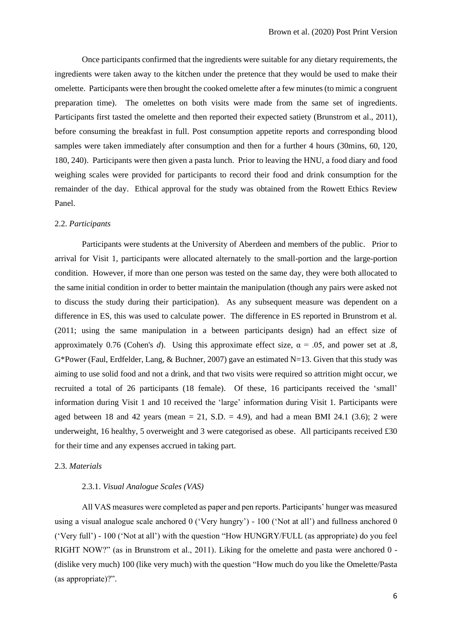Once participants confirmed that the ingredients were suitable for any dietary requirements, the ingredients were taken away to the kitchen under the pretence that they would be used to make their omelette. Participants were then brought the cooked omelette after a few minutes (to mimic a congruent preparation time). The omelettes on both visits were made from the same set of ingredients. Participants first tasted the omelette and then reported their expected satiety (Brunstrom et al., 2011), before consuming the breakfast in full. Post consumption appetite reports and corresponding blood samples were taken immediately after consumption and then for a further 4 hours (30mins, 60, 120, 180, 240). Participants were then given a pasta lunch. Prior to leaving the HNU, a food diary and food weighing scales were provided for participants to record their food and drink consumption for the remainder of the day. Ethical approval for the study was obtained from the Rowett Ethics Review Panel.

# 2.2. *Participants*

Participants were students at the University of Aberdeen and members of the public. Prior to arrival for Visit 1, participants were allocated alternately to the small-portion and the large-portion condition. However, if more than one person was tested on the same day, they were both allocated to the same initial condition in order to better maintain the manipulation (though any pairs were asked not to discuss the study during their participation). As any subsequent measure was dependent on a difference in ES, this was used to calculate power. The difference in ES reported in Brunstrom et al. (2011; using the same manipulation in a between participants design) had an effect size of approximately 0.76 (Cohen's *d*). Using this approximate effect size,  $\alpha = .05$ , and power set at .8, G\*Power (Faul, Erdfelder, Lang, & Buchner, 2007) gave an estimated N=13. Given that this study was aiming to use solid food and not a drink, and that two visits were required so attrition might occur, we recruited a total of 26 participants (18 female). Of these, 16 participants received the 'small' information during Visit 1 and 10 received the 'large' information during Visit 1. Participants were aged between 18 and 42 years (mean  $= 21$ , S.D.  $= 4.9$ ), and had a mean BMI 24.1 (3.6); 2 were underweight, 16 healthy, 5 overweight and 3 were categorised as obese. All participants received £30 for their time and any expenses accrued in taking part.

### 2.3. *Materials*

# 2.3.1. *Visual Analogue Scales (VAS)*

All VAS measures were completed as paper and pen reports. Participants' hunger was measured using a visual analogue scale anchored 0 ('Very hungry') - 100 ('Not at all') and fullness anchored 0 ('Very full') - 100 ('Not at all') with the question "How HUNGRY/FULL (as appropriate) do you feel RIGHT NOW?" (as in Brunstrom et al., 2011). Liking for the omelette and pasta were anchored 0 - (dislike very much) 100 (like very much) with the question "How much do you like the Omelette/Pasta (as appropriate)?".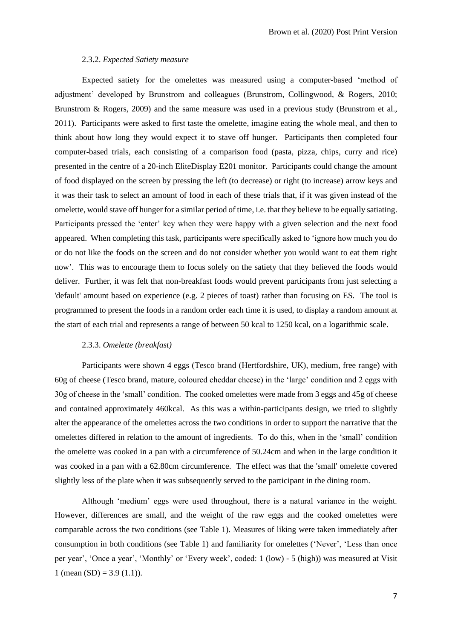#### 2.3.2. *Expected Satiety measure*

Expected satiety for the omelettes was measured using a computer-based 'method of adjustment' developed by Brunstrom and colleagues (Brunstrom, Collingwood, & Rogers, 2010; Brunstrom & Rogers, 2009) and the same measure was used in a previous study (Brunstrom et al., 2011). Participants were asked to first taste the omelette, imagine eating the whole meal, and then to think about how long they would expect it to stave off hunger. Participants then completed four computer-based trials, each consisting of a comparison food (pasta, pizza, chips, curry and rice) presented in the centre of a 20-inch EliteDisplay E201 monitor. Participants could change the amount of food displayed on the screen by pressing the left (to decrease) or right (to increase) arrow keys and it was their task to select an amount of food in each of these trials that, if it was given instead of the omelette, would stave off hunger for a similar period of time, i.e. that they believe to be equally satiating. Participants pressed the 'enter' key when they were happy with a given selection and the next food appeared. When completing this task, participants were specifically asked to 'ignore how much you do or do not like the foods on the screen and do not consider whether you would want to eat them right now'. This was to encourage them to focus solely on the satiety that they believed the foods would deliver. Further, it was felt that non-breakfast foods would prevent participants from just selecting a 'default' amount based on experience (e.g. 2 pieces of toast) rather than focusing on ES. The tool is programmed to present the foods in a random order each time it is used, to display a random amount at the start of each trial and represents a range of between 50 kcal to 1250 kcal, on a logarithmic scale.

# 2.3.3. *Omelette (breakfast)*

Participants were shown 4 eggs (Tesco brand (Hertfordshire, UK), medium, free range) with 60g of cheese (Tesco brand, mature, coloured cheddar cheese) in the 'large' condition and 2 eggs with 30g of cheese in the 'small' condition. The cooked omelettes were made from 3 eggs and 45g of cheese and contained approximately 460kcal. As this was a within-participants design, we tried to slightly alter the appearance of the omelettes across the two conditions in order to support the narrative that the omelettes differed in relation to the amount of ingredients. To do this, when in the 'small' condition the omelette was cooked in a pan with a circumference of 50.24cm and when in the large condition it was cooked in a pan with a 62.80cm circumference. The effect was that the 'small' omelette covered slightly less of the plate when it was subsequently served to the participant in the dining room.

Although 'medium' eggs were used throughout, there is a natural variance in the weight. However, differences are small, and the weight of the raw eggs and the cooked omelettes were comparable across the two conditions (see Table 1). Measures of liking were taken immediately after consumption in both conditions (see Table 1) and familiarity for omelettes ('Never', 'Less than once per year', 'Once a year', 'Monthly' or 'Every week', coded: 1 (low) - 5 (high)) was measured at Visit 1 (mean  $(SD) = 3.9$  (1.1)).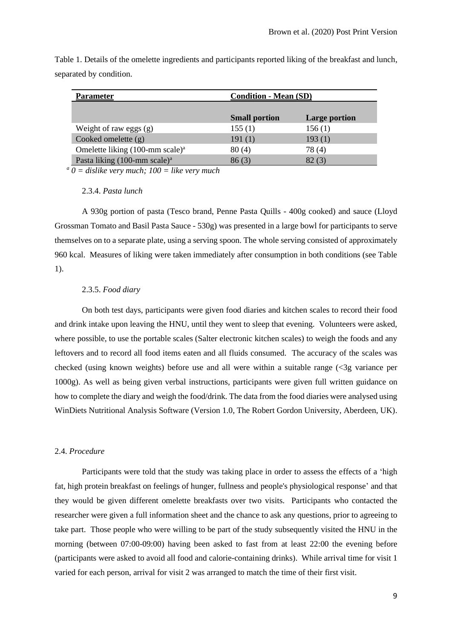| <b>Parameter</b>                               | <b>Condition - Mean (SD)</b> |                      |
|------------------------------------------------|------------------------------|----------------------|
|                                                |                              |                      |
|                                                | <b>Small portion</b>         | <b>Large portion</b> |
| Weight of raw eggs (g)                         | 155(1)                       | 156(1)               |
| Cooked omelette $(g)$                          | 191(1)                       | 193(1)               |
| Omelette liking $(100$ -mm scale) <sup>a</sup> | 80(4)                        | 78(4)                |
| Pasta liking $(100$ -mm scale) <sup>a</sup>    | 86(3)                        | 82(3)                |

Table 1. Details of the omelette ingredients and participants reported liking of the breakfast and lunch, separated by condition.

 *a 0 = dislike very much; 100 = like very much*

#### 2.3.4. *Pasta lunch*

A 930g portion of pasta (Tesco brand, Penne Pasta Quills - 400g cooked) and sauce (Lloyd Grossman Tomato and Basil Pasta Sauce - 530g) was presented in a large bowl for participants to serve themselves on to a separate plate, using a serving spoon. The whole serving consisted of approximately 960 kcal. Measures of liking were taken immediately after consumption in both conditions (see Table 1).

# 2.3.5. *Food diary*

On both test days, participants were given food diaries and kitchen scales to record their food and drink intake upon leaving the HNU, until they went to sleep that evening. Volunteers were asked, where possible, to use the portable scales (Salter electronic kitchen scales) to weigh the foods and any leftovers and to record all food items eaten and all fluids consumed. The accuracy of the scales was checked (using known weights) before use and all were within a suitable range (<3g variance per 1000g). As well as being given verbal instructions, participants were given full written guidance on how to complete the diary and weigh the food/drink. The data from the food diaries were analysed using WinDiets Nutritional Analysis Software (Version 1.0, The Robert Gordon University, Aberdeen, UK).

# 2.4. *Procedure*

Participants were told that the study was taking place in order to assess the effects of a 'high fat, high protein breakfast on feelings of hunger, fullness and people's physiological response' and that they would be given different omelette breakfasts over two visits. Participants who contacted the researcher were given a full information sheet and the chance to ask any questions, prior to agreeing to take part. Those people who were willing to be part of the study subsequently visited the HNU in the morning (between 07:00-09:00) having been asked to fast from at least 22:00 the evening before (participants were asked to avoid all food and calorie-containing drinks). While arrival time for visit 1 varied for each person, arrival for visit 2 was arranged to match the time of their first visit.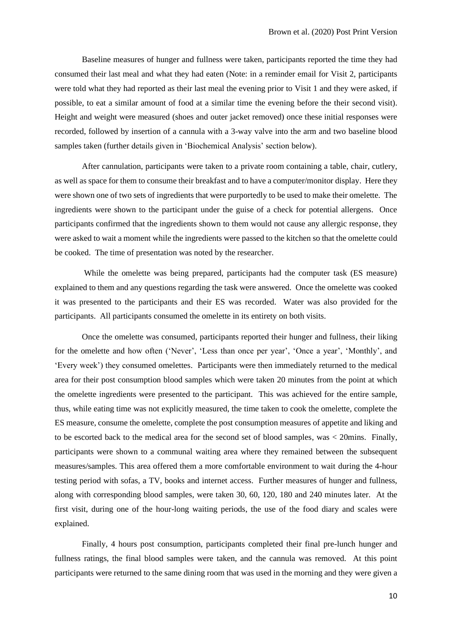Baseline measures of hunger and fullness were taken, participants reported the time they had consumed their last meal and what they had eaten (Note: in a reminder email for Visit 2, participants were told what they had reported as their last meal the evening prior to Visit 1 and they were asked, if possible, to eat a similar amount of food at a similar time the evening before the their second visit). Height and weight were measured (shoes and outer jacket removed) once these initial responses were recorded, followed by insertion of a cannula with a 3-way valve into the arm and two baseline blood samples taken (further details given in 'Biochemical Analysis' section below).

After cannulation, participants were taken to a private room containing a table, chair, cutlery, as well as space for them to consume their breakfast and to have a computer/monitor display. Here they were shown one of two sets of ingredients that were purportedly to be used to make their omelette. The ingredients were shown to the participant under the guise of a check for potential allergens. Once participants confirmed that the ingredients shown to them would not cause any allergic response, they were asked to wait a moment while the ingredients were passed to the kitchen so that the omelette could be cooked. The time of presentation was noted by the researcher.

While the omelette was being prepared, participants had the computer task (ES measure) explained to them and any questions regarding the task were answered. Once the omelette was cooked it was presented to the participants and their ES was recorded. Water was also provided for the participants. All participants consumed the omelette in its entirety on both visits.

Once the omelette was consumed, participants reported their hunger and fullness, their liking for the omelette and how often ('Never', 'Less than once per year', 'Once a year', 'Monthly', and 'Every week') they consumed omelettes. Participants were then immediately returned to the medical area for their post consumption blood samples which were taken 20 minutes from the point at which the omelette ingredients were presented to the participant. This was achieved for the entire sample, thus, while eating time was not explicitly measured, the time taken to cook the omelette, complete the ES measure, consume the omelette, complete the post consumption measures of appetite and liking and to be escorted back to the medical area for the second set of blood samples, was < 20mins. Finally, participants were shown to a communal waiting area where they remained between the subsequent measures/samples. This area offered them a more comfortable environment to wait during the 4-hour testing period with sofas, a TV, books and internet access. Further measures of hunger and fullness, along with corresponding blood samples, were taken 30, 60, 120, 180 and 240 minutes later. At the first visit, during one of the hour-long waiting periods, the use of the food diary and scales were explained.

Finally, 4 hours post consumption, participants completed their final pre-lunch hunger and fullness ratings, the final blood samples were taken, and the cannula was removed. At this point participants were returned to the same dining room that was used in the morning and they were given a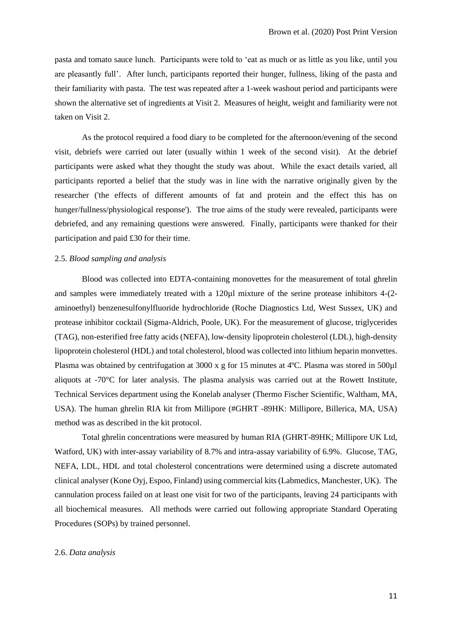pasta and tomato sauce lunch. Participants were told to 'eat as much or as little as you like, until you are pleasantly full'. After lunch, participants reported their hunger, fullness, liking of the pasta and their familiarity with pasta. The test was repeated after a 1-week washout period and participants were shown the alternative set of ingredients at Visit 2. Measures of height, weight and familiarity were not taken on Visit 2.

As the protocol required a food diary to be completed for the afternoon/evening of the second visit, debriefs were carried out later (usually within 1 week of the second visit). At the debrief participants were asked what they thought the study was about. While the exact details varied, all participants reported a belief that the study was in line with the narrative originally given by the researcher ('the effects of different amounts of fat and protein and the effect this has on hunger/fullness/physiological response'). The true aims of the study were revealed, participants were debriefed, and any remaining questions were answered. Finally, participants were thanked for their participation and paid £30 for their time.

#### 2.5. *Blood sampling and analysis*

Blood was collected into EDTA-containing monovettes for the measurement of total ghrelin and samples were immediately treated with a 120µl mixture of the serine protease inhibitors 4-(2 aminoethyl) benzenesulfonylfluoride hydrochloride (Roche Diagnostics Ltd, West Sussex, UK) and protease inhibitor cocktail (Sigma-Aldrich, Poole, UK). For the measurement of glucose, triglycerides (TAG), non-esterified free fatty acids (NEFA), low-density lipoprotein cholesterol (LDL), high-density lipoprotein cholesterol (HDL) and total cholesterol, blood was collected into lithium heparin monvettes. Plasma was obtained by centrifugation at 3000 x g for 15 minutes at 4ºC. Plasma was stored in 500µl aliquots at -70°C for later analysis. The plasma analysis was carried out at the Rowett Institute, Technical Services department using the Konelab analyser (Thermo Fischer Scientific, Waltham, MA, USA). The human ghrelin RIA kit from Millipore (#GHRT -89HK: Millipore, Billerica, MA, USA) method was as described in the kit protocol.

Total ghrelin concentrations were measured by human RIA (GHRT-89HK; Millipore UK Ltd, Watford, UK) with inter-assay variability of 8.7% and intra-assay variability of 6.9%. Glucose, TAG, NEFA, LDL, HDL and total cholesterol concentrations were determined using a discrete automated clinical analyser (Kone Oyj, Espoo, Finland) using commercial kits (Labmedics, Manchester, UK). The cannulation process failed on at least one visit for two of the participants, leaving 24 participants with all biochemical measures. All methods were carried out following appropriate Standard Operating Procedures (SOPs) by trained personnel.

#### 2.6. *Data analysis*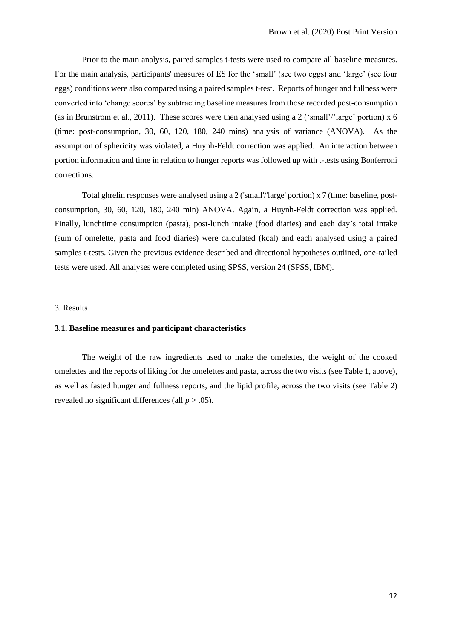Prior to the main analysis, paired samples t-tests were used to compare all baseline measures. For the main analysis, participants' measures of ES for the 'small' (see two eggs) and 'large' (see four eggs) conditions were also compared using a paired samples t-test. Reports of hunger and fullness were converted into 'change scores' by subtracting baseline measures from those recorded post-consumption (as in Brunstrom et al., 2011). These scores were then analysed using a 2 ('small'/'large' portion) x 6 (time: post-consumption, 30, 60, 120, 180, 240 mins) analysis of variance (ANOVA). As the assumption of sphericity was violated, a Huynh-Feldt correction was applied. An interaction between portion information and time in relation to hunger reports was followed up with t-tests using Bonferroni corrections.

Total ghrelin responses were analysed using a 2 ('small'/'large' portion) x 7 (time: baseline, postconsumption, 30, 60, 120, 180, 240 min) ANOVA. Again, a Huynh-Feldt correction was applied*.* Finally, lunchtime consumption (pasta), post-lunch intake (food diaries) and each day's total intake (sum of omelette, pasta and food diaries) were calculated (kcal) and each analysed using a paired samples t-tests. Given the previous evidence described and directional hypotheses outlined, one-tailed tests were used. All analyses were completed using SPSS, version 24 (SPSS, IBM).

#### 3. Results

# **3.1. Baseline measures and participant characteristics**

The weight of the raw ingredients used to make the omelettes, the weight of the cooked omelettes and the reports of liking for the omelettes and pasta, across the two visits (see Table 1, above), as well as fasted hunger and fullness reports, and the lipid profile, across the two visits (see Table 2) revealed no significant differences (all  $p > .05$ ).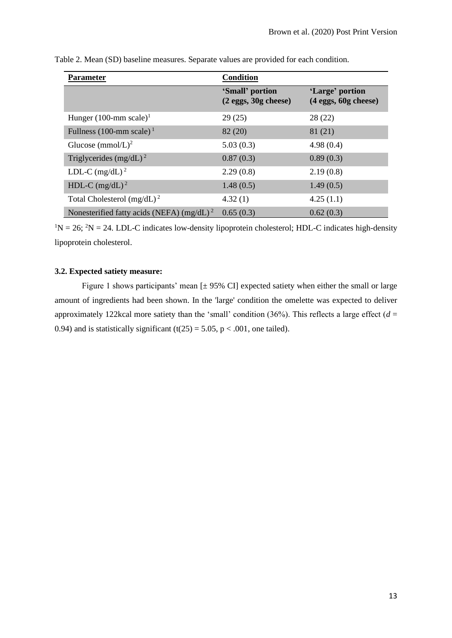| <b>Parameter</b>                             | <b>Condition</b>                            |                                             |
|----------------------------------------------|---------------------------------------------|---------------------------------------------|
|                                              | 'Small' portion<br>$(2$ eggs, $30g$ cheese) | 'Large' portion<br>$(4$ eggs, $60g$ cheese) |
| Hunger $(100$ -mm scale) <sup>1</sup>        | 29(25)                                      | 28(22)                                      |
| Fullness (100-mm scale) <sup>1</sup>         | 82 (20)                                     | 81 (21)                                     |
| Glucose (mmol/L) <sup>2</sup>                | 5.03(0.3)                                   | 4.98(0.4)                                   |
| Triglycerides $(mg/dL)^2$                    | 0.87(0.3)                                   | 0.89(0.3)                                   |
| LDL-C $(mg/dL)^2$                            | 2.29(0.8)                                   | 2.19(0.8)                                   |
| HDL-C $(mg/dL)^2$                            | 1.48(0.5)                                   | 1.49(0.5)                                   |
| Total Cholesterol $(mg/dL)^2$                | 4.32(1)                                     | 4.25(1.1)                                   |
| Nonesterified fatty acids (NEFA) $(mg/dL)^2$ | 0.65(0.3)                                   | 0.62(0.3)                                   |

| Table 2. Mean (SD) baseline measures. Separate values are provided for each condition. |
|----------------------------------------------------------------------------------------|
|----------------------------------------------------------------------------------------|

 $1N = 26$ ;  $2N = 24$ . LDL-C indicates low-density lipoprotein cholesterol; HDL-C indicates high-density lipoprotein cholesterol.

# **3.2. Expected satiety measure:**

Figure 1 shows participants' mean  $[± 95\%$  CI expected satiety when either the small or large amount of ingredients had been shown. In the 'large' condition the omelette was expected to deliver approximately 122kcal more satiety than the 'small' condition (36%). This reflects a large effect ( $d =$ 0.94) and is statistically significant (t(25) = 5.05, p < .001, one tailed).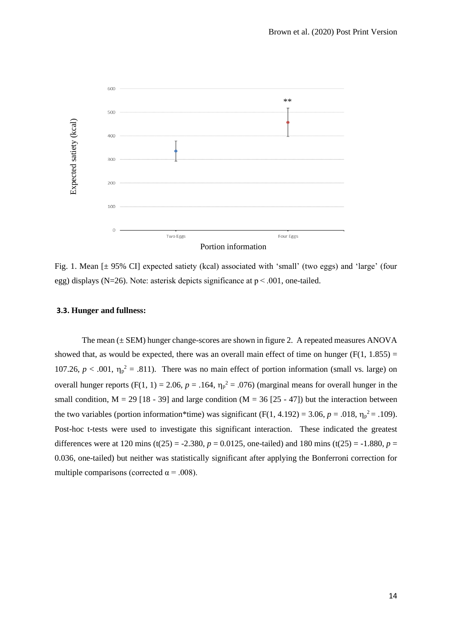

Fig. 1. Mean [± 95% CI] expected satiety (kcal) associated with 'small' (two eggs) and 'large' (four egg) displays (N=26). Note: asterisk depicts significance at p < .001, one-tailed.

# **3.3. Hunger and fullness:**

The mean ( $\pm$  SEM) hunger change-scores are shown in figure 2. A repeated measures ANOVA showed that, as would be expected, there was an overall main effect of time on hunger ( $F(1, 1.855) =$ 107.26,  $p < .001$ ,  $\eta_p^2 = .811$ ). There was no main effect of portion information (small vs. large) on overall hunger reports (F(1, 1) = 2.06,  $p = .164$ ,  $\eta_p^2 = .076$ ) (marginal means for overall hunger in the small condition,  $M = 29$  [18 - 39] and large condition ( $M = 36$  [25 - 47]) but the interaction between the two variables (portion information\*time) was significant  $(F(1, 4.192) = 3.06, p = .018, \eta_p^2 = .109)$ . Post-hoc t-tests were used to investigate this significant interaction. These indicated the greatest differences were at 120 mins (t(25) = -2.380,  $p = 0.0125$ , one-tailed) and 180 mins (t(25) = -1.880,  $p =$ 0.036, one-tailed) but neither was statistically significant after applying the Bonferroni correction for multiple comparisons (corrected α = .008).<br>  $\frac{1}{20}$  and  $\frac{1}{20}$  and  $\frac{1}{20}$  and  $\frac{1}{20}$  and  $\frac{1}{20}$  and  $\frac{1}{20}$  and  $\frac{1}{20}$  and  $\frac{1}{20}$  and  $\frac{1}{20}$ . Note: asterisk depict:<br> **3.3. Hunger and ful**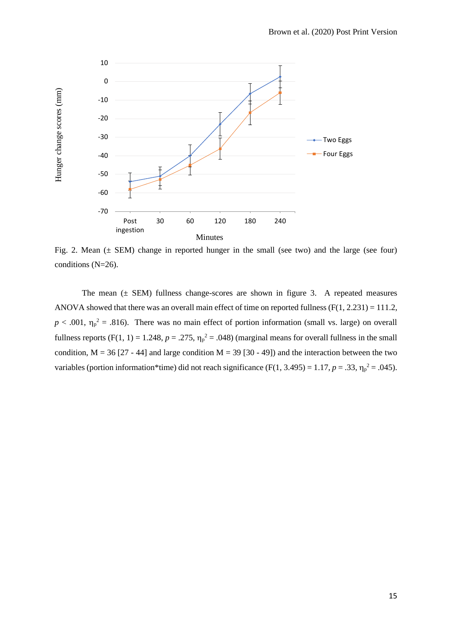

Fig. 2. Mean  $(\pm$  SEM) change in reported hunger in the small (see two) and the large (see four) conditions (N=26).

The mean  $(\pm$  SEM) fullness change-scores are shown in figure 3. A repeated measures ANOVA showed that there was an overall main effect of time on reported fullness (F(1, 2.231) = 111.2,  $p < .001$ ,  $\eta_p^2 = .816$ ). There was no main effect of portion information (small vs. large) on overall fullness reports (F(1, 1) = 1.248,  $p = .275$ ,  $\eta_p^2 = .048$ ) (marginal means for overall fullness in the small condition,  $M = 36$  [27 - 44] and large condition  $M = 39$  [30 - 49]) and the interaction between the two variables (portion information\*time) did not reach significance ( $F(1, 3.495) = 1.17$ ,  $p = .33$ ,  $\eta_p^2 = .045$ ).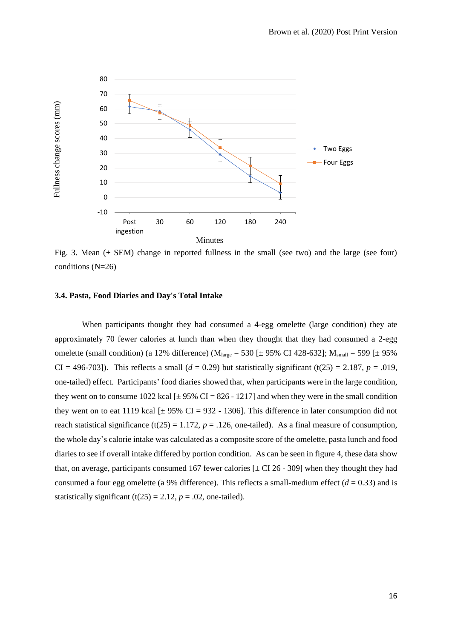

Fig. 3. Mean  $(\pm$  SEM) change in reported fullness in the small (see two) and the large (see four) conditions (N=26)

# **3.4. Pasta, Food Diaries and Day's Total Intake**

When participants thought they had consumed a 4-egg omelette (large condition) they ate approximately 70 fewer calories at lunch than when they thought that they had consumed a 2-egg omelette (small condition) (a 12% difference) ( $M<sub>large</sub> = 530$  [ $\pm$  95% CI 428-632];  $M<sub>small</sub> = 599$  [ $\pm$  95% CI = 496-703]). This reflects a small  $(d = 0.29)$  but statistically significant  $(t(25) = 2.187, p = .019,$ one-tailed) effect. Participants' food diaries showed that, when participants were in the large condition, they went on to consume 1022 kcal  $[\pm 95\% \text{ CI} = 826 - 1217]$  and when they were in the small condition they went on to eat 1119 kcal  $[\pm 95\% \text{ CI} = 932 - 1306]$ . This difference in later consumption did not reach statistical significance (t(25) = 1.172,  $p = .126$ , one-tailed). As a final measure of consumption, the whole day's calorie intake was calculated as a composite score of the omelette, pasta lunch and food diaries to see if overall intake differed by portion condition. As can be seen in figure 4, these data show that, on average, participants consumed 167 fewer calories  $[\pm \text{CI } 26 - 309]$  when they thought they had consumed a four egg omelette (a 9% difference). This reflects a small-medium effect  $(d = 0.33)$  and is statistically significant (t(25) = 2.12,  $p = .02$ , one-tailed).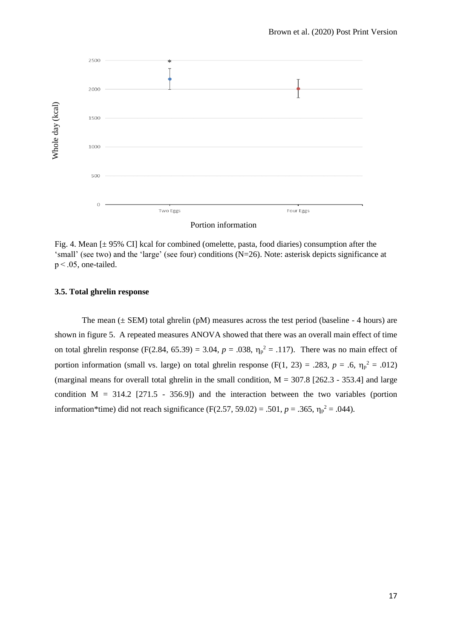

Fig. 4. Mean [± 95% CI] kcal for combined (omelette, pasta, food diaries) consumption after the 'small' (see two) and the 'large' (see four) conditions (N=26). Note: asterisk depicts significance at p < .05, one-tailed.

### **3.5. Total ghrelin response**

The mean  $(\pm$  SEM) total ghrelin (pM) measures across the test period (baseline - 4 hours) are shown in figure 5. A repeated measures ANOVA showed that there was an overall main effect of time on total ghrelin response (F(2.84, 65.39) = 3.04,  $p = .038$ ,  $\eta_p^2 = .117$ ). There was no main effect of portion information (small vs. large) on total ghrelin response (F(1, 23) = .283,  $p = .6$ ,  $\eta_p^2 = .012$ ) (marginal means for overall total ghrelin in the small condition,  $M = 307.8$  [262.3 - 353.4] and large condition  $M = 314.2$  [271.5 - 356.9]) and the interaction between the two variables (portion information\*time) did not reach significance (F(2.57, 59.02) = .501,  $p = .365$ ,  $\eta_p^2 = .044$ ).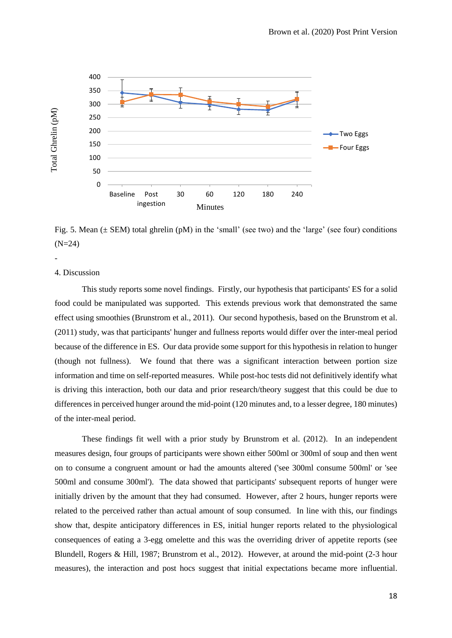

Fig. 5. Mean  $(\pm$  SEM) total ghrelin (pM) in the 'small' (see two) and the 'large' (see four) conditions (N=24)

# 4. Discussion

-

This study reports some novel findings. Firstly, our hypothesis that participants' ES for a solid food could be manipulated was supported. This extends previous work that demonstrated the same effect using smoothies (Brunstrom et al., 2011). Our second hypothesis, based on the Brunstrom et al. (2011) study, was that participants' hunger and fullness reports would differ over the inter-meal period because of the difference in ES. Our data provide some support for this hypothesis in relation to hunger (though not fullness). We found that there was a significant interaction between portion size information and time on self-reported measures. While post-hoc tests did not definitively identify what is driving this interaction, both our data and prior research/theory suggest that this could be due to differences in perceived hunger around the mid-point (120 minutes and, to a lesser degree, 180 minutes) of the inter-meal period.

These findings fit well with a prior study by Brunstrom et al. (2012). In an independent measures design, four groups of participants were shown either 500ml or 300ml of soup and then went on to consume a congruent amount or had the amounts altered ('see 300ml consume 500ml' or 'see 500ml and consume 300ml'). The data showed that participants' subsequent reports of hunger were initially driven by the amount that they had consumed. However, after 2 hours, hunger reports were related to the perceived rather than actual amount of soup consumed. In line with this, our findings show that, despite anticipatory differences in ES, initial hunger reports related to the physiological consequences of eating a 3-egg omelette and this was the overriding driver of appetite reports (see Blundell, Rogers & Hill, 1987; Brunstrom et al., 2012). However, at around the mid-point (2-3 hour measures), the interaction and post hocs suggest that initial expectations became more influential.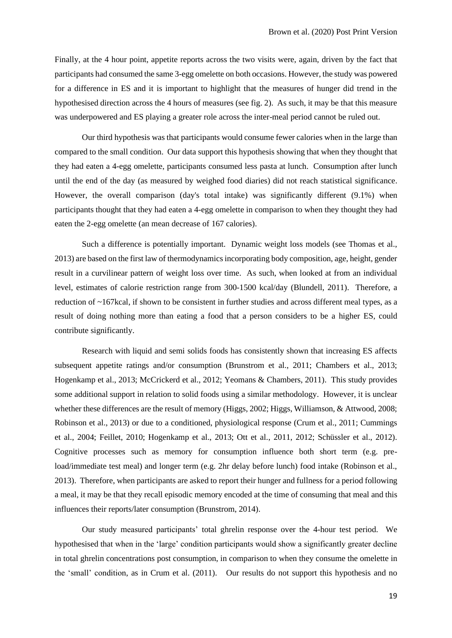Finally, at the 4 hour point, appetite reports across the two visits were, again, driven by the fact that participants had consumed the same 3-egg omelette on both occasions. However, the study was powered for a difference in ES and it is important to highlight that the measures of hunger did trend in the hypothesised direction across the 4 hours of measures (see fig. 2). As such, it may be that this measure was underpowered and ES playing a greater role across the inter-meal period cannot be ruled out.

Our third hypothesis was that participants would consume fewer calories when in the large than compared to the small condition. Our data support this hypothesis showing that when they thought that they had eaten a 4-egg omelette, participants consumed less pasta at lunch. Consumption after lunch until the end of the day (as measured by weighed food diaries) did not reach statistical significance. However, the overall comparison (day's total intake) was significantly different (9.1%) when participants thought that they had eaten a 4-egg omelette in comparison to when they thought they had eaten the 2-egg omelette (an mean decrease of 167 calories).

Such a difference is potentially important. Dynamic weight loss models (see Thomas et al., 2013) are based on the first law of thermodynamics incorporating body composition, age, height, gender result in a curvilinear pattern of weight loss over time. As such, when looked at from an individual level, estimates of calorie restriction range from 300-1500 kcal/day (Blundell, 2011). Therefore, a reduction of ~167kcal, if shown to be consistent in further studies and across different meal types, as a result of doing nothing more than eating a food that a person considers to be a higher ES, could contribute significantly.

Research with liquid and semi solids foods has consistently shown that increasing ES affects subsequent appetite ratings and/or consumption (Brunstrom et al., 2011; Chambers et al., 2013; Hogenkamp et al., 2013; McCrickerd et al., 2012; Yeomans & Chambers, 2011). This study provides some additional support in relation to solid foods using a similar methodology. However, it is unclear whether these differences are the result of memory (Higgs, 2002; Higgs, Williamson, & Attwood, 2008; Robinson et al., 2013) or due to a conditioned, physiological response (Crum et al., 2011; Cummings et al., 2004; Feillet, 2010; Hogenkamp et al., 2013; Ott et al., 2011, 2012; Schüssler et al., 2012). Cognitive processes such as memory for consumption influence both short term (e.g. preload/immediate test meal) and longer term (e.g. 2hr delay before lunch) food intake (Robinson et al., 2013). Therefore, when participants are asked to report their hunger and fullness for a period following a meal, it may be that they recall episodic memory encoded at the time of consuming that meal and this influences their reports/later consumption (Brunstrom, 2014).

Our study measured participants' total ghrelin response over the 4-hour test period. We hypothesised that when in the 'large' condition participants would show a significantly greater decline in total ghrelin concentrations post consumption, in comparison to when they consume the omelette in the 'small' condition, as in Crum et al. (2011). Our results do not support this hypothesis and no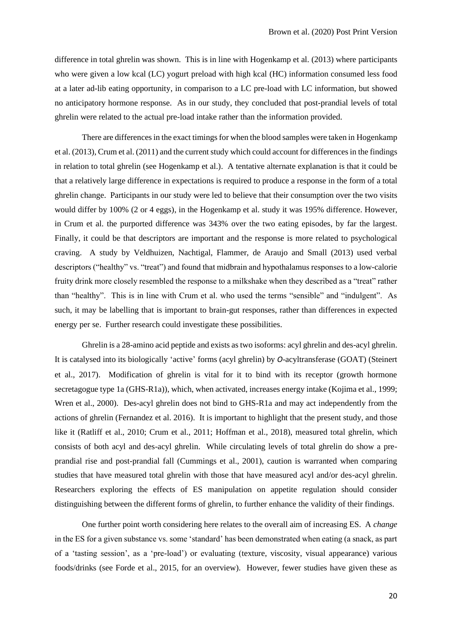difference in total ghrelin was shown. This is in line with Hogenkamp et al. (2013) where participants who were given a low kcal (LC) yogurt preload with high kcal (HC) information consumed less food at a later ad-lib eating opportunity, in comparison to a LC pre-load with LC information, but showed no anticipatory hormone response. As in our study, they concluded that post-prandial levels of total ghrelin were related to the actual pre-load intake rather than the information provided.

There are differences in the exact timings for when the blood samples were taken in Hogenkamp et al. (2013), Crum et al. (2011) and the current study which could account for differences in the findings in relation to total ghrelin (see Hogenkamp et al.). A tentative alternate explanation is that it could be that a relatively large difference in expectations is required to produce a response in the form of a total ghrelin change. Participants in our study were led to believe that their consumption over the two visits would differ by 100% (2 or 4 eggs), in the Hogenkamp et al. study it was 195% difference. However, in Crum et al. the purported difference was 343% over the two eating episodes, by far the largest. Finally, it could be that descriptors are important and the response is more related to psychological craving. A study by Veldhuizen, Nachtigal, Flammer, de Araujo and Small (2013) used verbal descriptors ("healthy" vs. "treat") and found that midbrain and hypothalamus responses to a low-calorie fruity drink more closely resembled the response to a milkshake when they described as a "treat" rather than "healthy". This is in line with Crum et al. who used the terms "sensible" and "indulgent". As such, it may be labelling that is important to brain-gut responses, rather than differences in expected energy per se. Further research could investigate these possibilities.

Ghrelin is a 28-amino acid peptide and exists as two isoforms: acyl ghrelin and des-acyl ghrelin. It is catalysed into its biologically 'active' forms (acyl ghrelin) by *O*-acyltransferase (GOAT) (Steinert et al., 2017). Modification of ghrelin is vital for it to bind with its receptor (growth hormone secretagogue type 1a (GHS-R1a)), which, when activated, increases energy intake (Kojima et al., 1999; Wren et al., 2000). Des-acyl ghrelin does not bind to GHS-R1a and may act independently from the actions of ghrelin (Fernandez et al. 2016). It is important to highlight that the present study, and those like it (Ratliff et al., 2010; Crum et al., 2011; Hoffman et al., 2018), measured total ghrelin, which consists of both acyl and des-acyl ghrelin. While circulating levels of total ghrelin do show a preprandial rise and post-prandial fall (Cummings et al., 2001), caution is warranted when comparing studies that have measured total ghrelin with those that have measured acyl and/or des-acyl ghrelin. Researchers exploring the effects of ES manipulation on appetite regulation should consider distinguishing between the different forms of ghrelin, to further enhance the validity of their findings.

One further point worth considering here relates to the overall aim of increasing ES. A *change* in the ES for a given substance vs. some 'standard' has been demonstrated when eating (a snack, as part of a 'tasting session', as a 'pre-load') or evaluating (texture, viscosity, visual appearance) various foods/drinks (see Forde et al., 2015, for an overview). However, fewer studies have given these as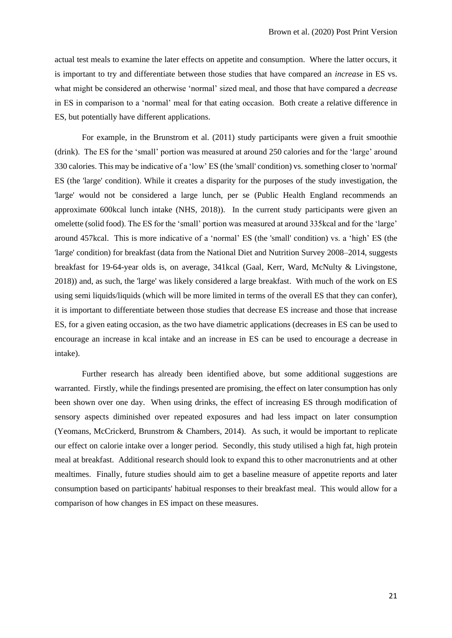actual test meals to examine the later effects on appetite and consumption. Where the latter occurs, it is important to try and differentiate between those studies that have compared an *increase* in ES vs. what might be considered an otherwise 'normal' sized meal, and those that have compared a *decrease*  in ES in comparison to a 'normal' meal for that eating occasion. Both create a relative difference in ES, but potentially have different applications.

For example, in the Brunstrom et al. (2011) study participants were given a fruit smoothie (drink). The ES for the 'small' portion was measured at around 250 calories and for the 'large' around 330 calories. This may be indicative of a 'low' ES (the 'small' condition) vs. something closer to 'normal' ES (the 'large' condition). While it creates a disparity for the purposes of the study investigation, the 'large' would not be considered a large lunch, per se (Public Health England recommends an approximate 600kcal lunch intake (NHS, 2018)). In the current study participants were given an omelette (solid food). The ES for the 'small' portion was measured at around 335kcal and for the 'large' around 457kcal. This is more indicative of a 'normal' ES (the 'small' condition) vs. a 'high' ES (the 'large' condition) for breakfast (data from the National Diet and Nutrition Survey 2008–2014, suggests breakfast for 19-64-year olds is, on average, 341kcal (Gaal, Kerr, Ward, McNulty & Livingstone, 2018)) and, as such, the 'large' was likely considered a large breakfast. With much of the work on ES using semi liquids/liquids (which will be more limited in terms of the overall ES that they can confer), it is important to differentiate between those studies that decrease ES increase and those that increase ES, for a given eating occasion, as the two have diametric applications (decreases in ES can be used to encourage an increase in kcal intake and an increase in ES can be used to encourage a decrease in intake).

Further research has already been identified above, but some additional suggestions are warranted. Firstly, while the findings presented are promising, the effect on later consumption has only been shown over one day. When using drinks, the effect of increasing ES through modification of sensory aspects diminished over repeated exposures and had less impact on later consumption (Yeomans, McCrickerd, Brunstrom & Chambers, 2014). As such, it would be important to replicate our effect on calorie intake over a longer period. Secondly, this study utilised a high fat, high protein meal at breakfast. Additional research should look to expand this to other macronutrients and at other mealtimes. Finally, future studies should aim to get a baseline measure of appetite reports and later consumption based on participants' habitual responses to their breakfast meal. This would allow for a comparison of how changes in ES impact on these measures.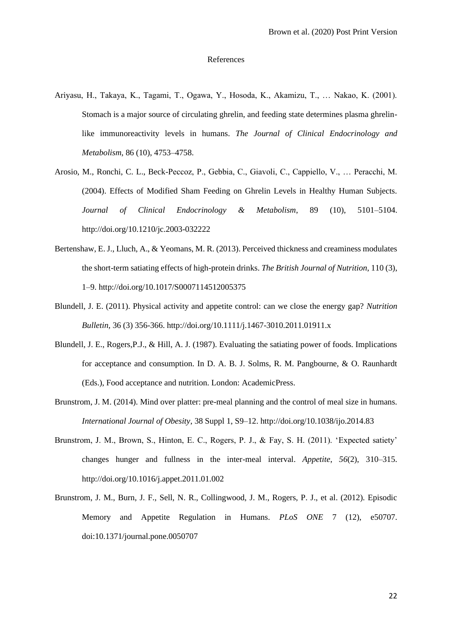#### References

- Ariyasu, H., Takaya, K., Tagami, T., Ogawa, Y., Hosoda, K., Akamizu, T., … Nakao, K. (2001). Stomach is a major source of circulating ghrelin, and feeding state determines plasma ghrelinlike immunoreactivity levels in humans. *The Journal of Clinical Endocrinology and Metabolism*, 86 (10), 4753–4758.
- Arosio, M., Ronchi, C. L., Beck-Peccoz, P., Gebbia, C., Giavoli, C., Cappiello, V., … Peracchi, M. (2004). Effects of Modified Sham Feeding on Ghrelin Levels in Healthy Human Subjects. *Journal of Clinical Endocrinology & Metabolism*, 89 (10), 5101–5104. http://doi.org/10.1210/jc.2003-032222
- Bertenshaw, E. J., Lluch, A., & Yeomans, M. R. (2013). Perceived thickness and creaminess modulates the short-term satiating effects of high-protein drinks. *The British Journal of Nutrition*, 110 (3), 1–9. http://doi.org/10.1017/S0007114512005375
- Blundell, J. E. (2011). Physical activity and appetite control: can we close the energy gap? *Nutrition Bulletin,* 36 (3) 356-366. http://doi.org/10.1111/j.1467-3010.2011.01911.x
- Blundell, J. E., Rogers,P.J., & Hill, A. J. (1987). Evaluating the satiating power of foods. Implications for acceptance and consumption. In D. A. B. J. Solms, R. M. Pangbourne, & O. Raunhardt (Eds.), Food acceptance and nutrition. London: AcademicPress.
- Brunstrom, J. M. (2014). Mind over platter: pre-meal planning and the control of meal size in humans. *International Journal of Obesity*, 38 Suppl 1, S9–12. http://doi.org/10.1038/ijo.2014.83
- Brunstrom, J. M., Brown, S., Hinton, E. C., Rogers, P. J., & Fay, S. H. (2011). 'Expected satiety' changes hunger and fullness in the inter-meal interval. *Appetite*, *56*(2), 310–315. http://doi.org/10.1016/j.appet.2011.01.002
- Brunstrom, J. M., Burn, J. F., Sell, N. R., Collingwood, J. M., Rogers, P. J., et al. (2012). Episodic Memory and Appetite Regulation in Humans. *PLoS ONE* 7 (12), e50707. doi:10.1371/journal.pone.0050707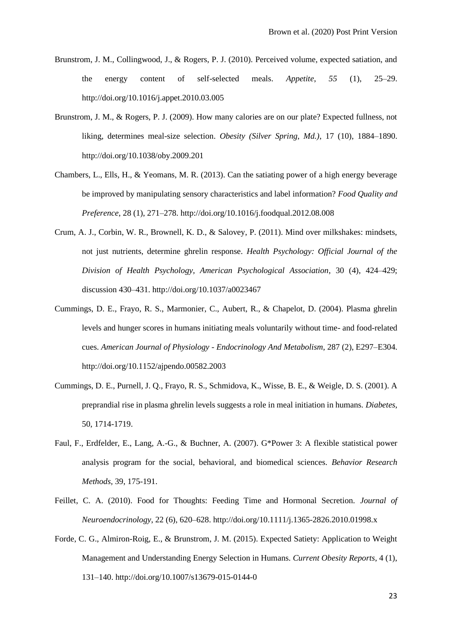- Brunstrom, J. M., Collingwood, J., & Rogers, P. J. (2010). Perceived volume, expected satiation, and the energy content of self-selected meals. *Appetite*, *55* (1), 25–29. http://doi.org/10.1016/j.appet.2010.03.005
- Brunstrom, J. M., & Rogers, P. J. (2009). How many calories are on our plate? Expected fullness, not liking, determines meal-size selection. *Obesity (Silver Spring, Md.)*, 17 (10), 1884–1890. http://doi.org/10.1038/oby.2009.201
- Chambers, L., Ells, H., & Yeomans, M. R. (2013). Can the satiating power of a high energy beverage be improved by manipulating sensory characteristics and label information? *Food Quality and Preference*, 28 (1), 271–278. http://doi.org/10.1016/j.foodqual.2012.08.008
- Crum, A. J., Corbin, W. R., Brownell, K. D., & Salovey, P. (2011). Mind over milkshakes: mindsets, not just nutrients, determine ghrelin response. *Health Psychology: Official Journal of the Division of Health Psychology, American Psychological Association*, 30 (4), 424–429; discussion 430–431. http://doi.org/10.1037/a0023467
- Cummings, D. E., Frayo, R. S., Marmonier, C., Aubert, R., & Chapelot, D. (2004). Plasma ghrelin levels and hunger scores in humans initiating meals voluntarily without time- and food-related cues. *American Journal of Physiology - Endocrinology And Metabolism*, 287 (2), E297–E304. http://doi.org/10.1152/ajpendo.00582.2003
- Cummings, D. E., Purnell, J. Q., Frayo, R. S., Schmidova, K., Wisse, B. E., & Weigle, D. S. (2001). A preprandial rise in plasma ghrelin levels suggests a role in meal initiation in humans. *Diabetes*, 50, 1714-1719.
- Faul, F., Erdfelder, E., Lang, A.-G., & Buchner, A. (2007). G\*Power 3: A flexible statistical power analysis program for the social, behavioral, and biomedical sciences. *Behavior Research Methods,* 39, 175-191.
- Feillet, C. A. (2010). Food for Thoughts: Feeding Time and Hormonal Secretion. *Journal of Neuroendocrinology*, 22 (6), 620–628. http://doi.org/10.1111/j.1365-2826.2010.01998.x
- Forde, C. G., Almiron-Roig, E., & Brunstrom, J. M. (2015). Expected Satiety: Application to Weight Management and Understanding Energy Selection in Humans. *Current Obesity Reports*, 4 (1), 131–140. http://doi.org/10.1007/s13679-015-0144-0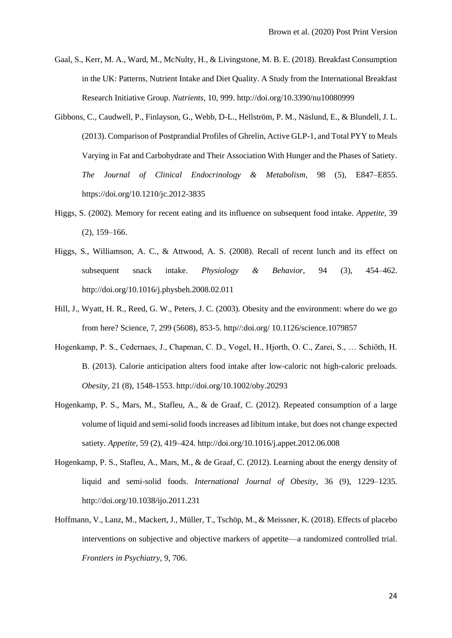- Gaal, S., Kerr, M. A., Ward, M., McNulty, H., & Livingstone, M. B. E. (2018). Breakfast Consumption in the UK: Patterns, Nutrient Intake and Diet Quality. A Study from the International Breakfast Research Initiative Group. *Nutrients*, 10, 999. http://doi.org/10.3390/nu10080999
- Gibbons, C., Caudwell, P., Finlayson, G., Webb, D-L., Hellström, P. M., Näslund, E., & Blundell, J. L. (2013). Comparison of Postprandial Profiles of Ghrelin, Active GLP-1, and Total PYY to Meals Varying in Fat and Carbohydrate and Their Association With Hunger and the Phases of Satiety. *The Journal of Clinical Endocrinology & Metabolism*, 98 (5), E847–E855. https://doi.org/10.1210/jc.2012-3835
- Higgs, S. (2002). Memory for recent eating and its influence on subsequent food intake. *Appetite*, 39 (2), 159–166.
- Higgs, S., Williamson, A. C., & Attwood, A. S. (2008). Recall of recent lunch and its effect on subsequent snack intake. *Physiology & Behavior*, 94 (3), 454–462. http://doi.org/10.1016/j.physbeh.2008.02.011
- Hill, J., Wyatt, H. R., Reed, G. W., Peters, J. C. (2003). Obesity and the environment: where do we go from here? Science, 7, 299 (5608), 853-5. http//:doi.org/ 10.1126/science.1079857
- Hogenkamp, P. S., Cedernaes, J., Chapman, C. D., Vogel, H., Hjorth, O. C., Zarei, S., … Schiöth, H. B. (2013). Calorie anticipation alters food intake after low-caloric not high-caloric preloads. *Obesity*, 21 (8), 1548-1553. http://doi.org/10.1002/oby.20293
- Hogenkamp, P. S., Mars, M., Stafleu, A., & de Graaf, C. (2012). Repeated consumption of a large volume of liquid and semi-solid foods increases ad libitum intake, but does not change expected satiety. *Appetite*, 59 (2), 419–424. http://doi.org/10.1016/j.appet.2012.06.008
- Hogenkamp, P. S., Stafleu, A., Mars, M., & de Graaf, C. (2012). Learning about the energy density of liquid and semi-solid foods. *International Journal of Obesity*, 36 (9), 1229–1235. http://doi.org/10.1038/ijo.2011.231
- Hoffmann, V., Lanz, M., Mackert, J., Müller, T., Tschöp, M., & Meissner, K. (2018). Effects of placebo interventions on subjective and objective markers of appetite—a randomized controlled trial. *Frontiers in Psychiatry*, 9, 706.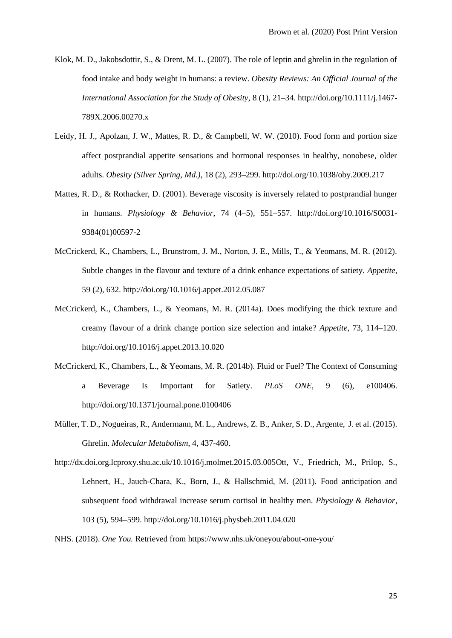- Klok, M. D., Jakobsdottir, S., & Drent, M. L. (2007). The role of leptin and ghrelin in the regulation of food intake and body weight in humans: a review. *Obesity Reviews: An Official Journal of the International Association for the Study of Obesity*, 8 (1), 21–34. http://doi.org/10.1111/j.1467- 789X.2006.00270.x
- Leidy, H. J., Apolzan, J. W., Mattes, R. D., & Campbell, W. W. (2010). Food form and portion size affect postprandial appetite sensations and hormonal responses in healthy, nonobese, older adults. *Obesity (Silver Spring, Md.)*, 18 (2), 293–299. http://doi.org/10.1038/oby.2009.217
- Mattes, R. D., & Rothacker, D. (2001). Beverage viscosity is inversely related to postprandial hunger in humans. *Physiology & Behavior*, 74 (4–5), 551–557. http://doi.org/10.1016/S0031- 9384(01)00597-2
- McCrickerd, K., Chambers, L., Brunstrom, J. M., Norton, J. E., Mills, T., & Yeomans, M. R. (2012). Subtle changes in the flavour and texture of a drink enhance expectations of satiety. *Appetite*, 59 (2), 632. http://doi.org/10.1016/j.appet.2012.05.087
- McCrickerd, K., Chambers, L., & Yeomans, M. R. (2014a). Does modifying the thick texture and creamy flavour of a drink change portion size selection and intake? *Appetite*, 73, 114–120. http://doi.org/10.1016/j.appet.2013.10.020
- McCrickerd, K., Chambers, L., & Yeomans, M. R. (2014b). Fluid or Fuel? The Context of Consuming a Beverage Is Important for Satiety. *PLoS ONE*, 9 (6), e100406. http://doi.org/10.1371/journal.pone.0100406
- Müller, T. D., Nogueiras, R., Andermann, M. L., Andrews, Z. B., Anker, S. D., Argente, J. et al. (2015). Ghrelin. *Molecular Metabolism*, 4, 437-460.
- http://dx.doi.org.lcproxy.shu.ac.uk/10.1016/j.molmet.2015.03.005Ott, V., Friedrich, M., Prilop, S., Lehnert, H., Jauch-Chara, K., Born, J., & Hallschmid, M. (2011). Food anticipation and subsequent food withdrawal increase serum cortisol in healthy men. *Physiology & Behavior*, 103 (5), 594–599. http://doi.org/10.1016/j.physbeh.2011.04.020
- NHS. (2018). *One You.* Retrieved from https://www.nhs.uk/oneyou/about-one-you/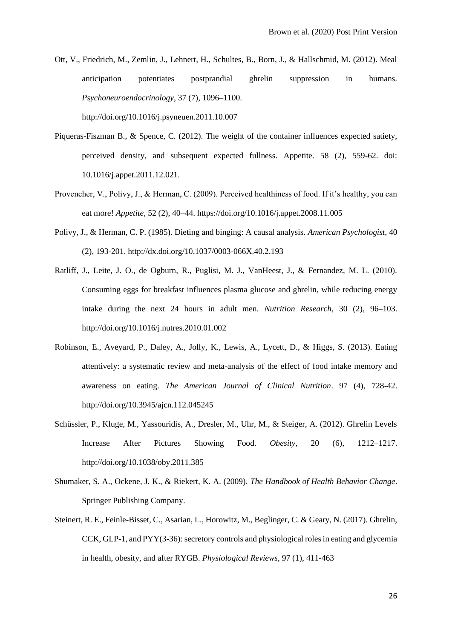- Ott, V., Friedrich, M., Zemlin, J., Lehnert, H., Schultes, B., Born, J., & Hallschmid, M. (2012). Meal anticipation potentiates postprandial ghrelin suppression in humans. *Psychoneuroendocrinology*, 37 (7), 1096–1100. http://doi.org/10.1016/j.psyneuen.2011.10.007
- Piqueras-Fiszman B., & Spence, C. (2012). The weight of the container influences expected satiety, perceived density, and subsequent expected fullness. Appetite. 58 (2), 559-62. doi: 10.1016/j.appet.2011.12.021.
- Provencher, V., Polivy, J., & Herman, C. (2009). Perceived healthiness of food. If it's healthy, you can eat more! *Appetite,* 52 (2), 40–44. https://doi.org/10.1016/j.appet.2008.11.005
- Polivy, J., & Herman, C. P. (1985). Dieting and binging: A causal analysis. *American Psychologist*, 40 (2), 193-201. http://dx.doi.org/10.1037/0003-066X.40.2.193
- Ratliff, J., Leite, J. O., de Ogburn, R., Puglisi, M. J., VanHeest, J., & Fernandez, M. L. (2010). Consuming eggs for breakfast influences plasma glucose and ghrelin, while reducing energy intake during the next 24 hours in adult men. *Nutrition Research*, 30 (2), 96–103. http://doi.org/10.1016/j.nutres.2010.01.002
- Robinson, E., Aveyard, P., Daley, A., Jolly, K., Lewis, A., Lycett, D., & Higgs, S. (2013). Eating attentively: a systematic review and meta-analysis of the effect of food intake memory and awareness on eating. *The American Journal of Clinical Nutrition*. 97 (4), 728-42. http://doi.org/10.3945/ajcn.112.045245
- Schüssler, P., Kluge, M., Yassouridis, A., Dresler, M., Uhr, M., & Steiger, A. (2012). Ghrelin Levels Increase After Pictures Showing Food. *Obesity*, 20 (6), 1212–1217. http://doi.org/10.1038/oby.2011.385
- Shumaker, S. A., Ockene, J. K., & Riekert, K. A. (2009). *The Handbook of Health Behavior Change*. Springer Publishing Company.
- Steinert, R. E., Feinle-Bisset, C., Asarian, L., Horowitz, M., Beglinger, C. & Geary, N. (2017). Ghrelin, CCK, GLP-1, and PYY(3-36): secretory controls and physiological roles in eating and glycemia in health, obesity, and after RYGB. *Physiological Reviews*, 97 (1), 411-463